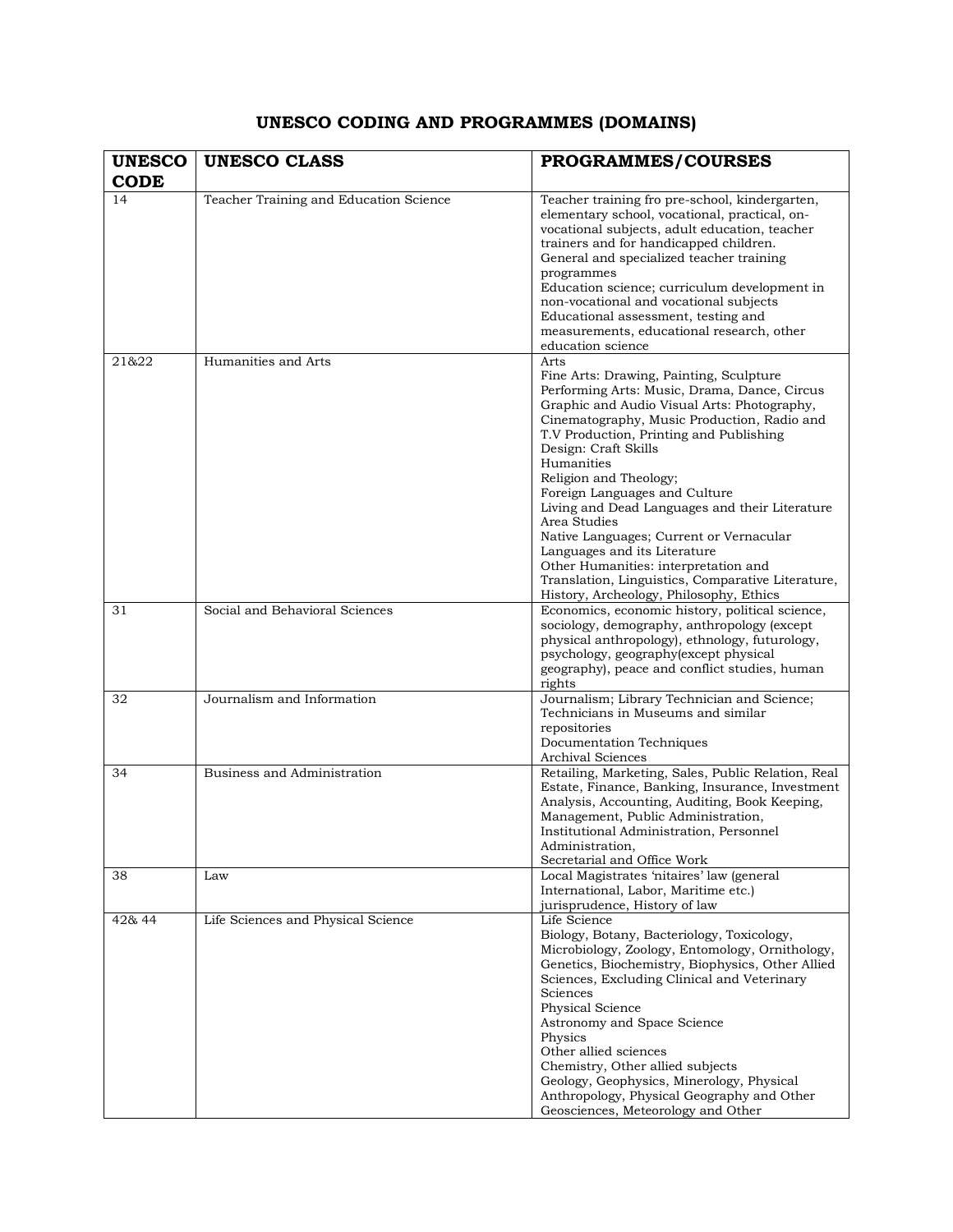## **UNESCO CODING AND PROGRAMMES (DOMAINS)**

| <b>UNESCO</b> | <b>UNESCO CLASS</b>                    | PROGRAMMES/COURSES                                                                                                                                                                                                                                                                                                                                                                                                                                                                                                                                                                                                             |
|---------------|----------------------------------------|--------------------------------------------------------------------------------------------------------------------------------------------------------------------------------------------------------------------------------------------------------------------------------------------------------------------------------------------------------------------------------------------------------------------------------------------------------------------------------------------------------------------------------------------------------------------------------------------------------------------------------|
| <b>CODE</b>   |                                        |                                                                                                                                                                                                                                                                                                                                                                                                                                                                                                                                                                                                                                |
| 14            | Teacher Training and Education Science | Teacher training fro pre-school, kindergarten,<br>elementary school, vocational, practical, on-<br>vocational subjects, adult education, teacher<br>trainers and for handicapped children.<br>General and specialized teacher training<br>programmes<br>Education science; curriculum development in<br>non-vocational and vocational subjects<br>Educational assessment, testing and<br>measurements, educational research, other<br>education science                                                                                                                                                                        |
| 21&22         | Humanities and Arts                    | Arts<br>Fine Arts: Drawing, Painting, Sculpture<br>Performing Arts: Music, Drama, Dance, Circus<br>Graphic and Audio Visual Arts: Photography,<br>Cinematography, Music Production, Radio and<br>T.V Production, Printing and Publishing<br>Design: Craft Skills<br>Humanities<br>Religion and Theology;<br>Foreign Languages and Culture<br>Living and Dead Languages and their Literature<br>Area Studies<br>Native Languages; Current or Vernacular<br>Languages and its Literature<br>Other Humanities: interpretation and<br>Translation, Linguistics, Comparative Literature,<br>History, Archeology, Philosophy, Ethics |
| 31            | Social and Behavioral Sciences         | Economics, economic history, political science,<br>sociology, demography, anthropology (except<br>physical anthropology), ethnology, futurology,<br>psychology, geography(except physical<br>geography), peace and conflict studies, human<br>rights                                                                                                                                                                                                                                                                                                                                                                           |
| 32            | Journalism and Information             | Journalism; Library Technician and Science;<br>Technicians in Museums and similar<br>repositories<br>Documentation Techniques<br>Archival Sciences                                                                                                                                                                                                                                                                                                                                                                                                                                                                             |
| 34            | Business and Administration            | Retailing, Marketing, Sales, Public Relation, Real<br>Estate, Finance, Banking, Insurance, Investment<br>Analysis, Accounting, Auditing, Book Keeping,<br>Management, Public Administration,<br>Institutional Administration, Personnel<br>Administration,<br>Secretarial and Office Work                                                                                                                                                                                                                                                                                                                                      |
| 38            | Law                                    | Local Magistrates 'nitaires' law (general<br>International, Labor, Maritime etc.)<br>jurisprudence, History of law                                                                                                                                                                                                                                                                                                                                                                                                                                                                                                             |
| 42& 44        | Life Sciences and Physical Science     | Life Science<br>Biology, Botany, Bacteriology, Toxicology,<br>Microbiology, Zoology, Entomology, Ornithology,<br>Genetics, Biochemistry, Biophysics, Other Allied<br>Sciences, Excluding Clinical and Veterinary<br>Sciences<br>Physical Science<br>Astronomy and Space Science<br>Physics<br>Other allied sciences<br>Chemistry, Other allied subjects<br>Geology, Geophysics, Minerology, Physical<br>Anthropology, Physical Geography and Other<br>Geosciences, Meteorology and Other                                                                                                                                       |